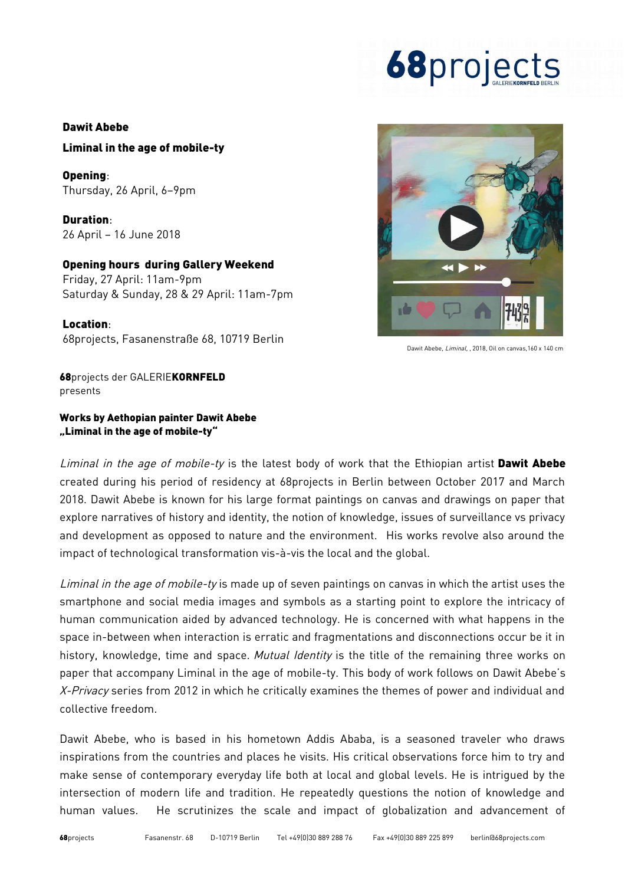# **68**projects

#### Dawit Abebe

### Liminal in the age of mobile-ty

Opening: Thursday, 26 April, 6–9pm

Duration: 26 April – 16 June 2018

### Opening hours during Gallery Weekend

Friday, 27 April: 11am-9pm Saturday & Sunday, 28 & 29 April: 11am-7pm

Location: 68projects, Fasanenstraße 68, 10719 Berlin



Dawit Abebe, Liminal, , 2018, Oil on canvas,160 x 140 cm

68projects der GALERIEKORNFELD presents

## Works by Aethopian painter Dawit Abebe "Liminal in the age of mobile-ty"

Liminal in the age of mobile-ty is the latest body of work that the Ethiopian artist Dawit Abebe created during his period of residency at 68projects in Berlin between October 2017 and March 2018. Dawit Abebe is known for his large format paintings on canvas and drawings on paper that explore narratives of history and identity, the notion of knowledge, issues of surveillance vs privacy and development as opposed to nature and the environment. His works revolve also around the impact of technological transformation vis-à-vis the local and the global.

Liminal in the age of mobile-ty is made up of seven paintings on canvas in which the artist uses the smartphone and social media images and symbols as a starting point to explore the intricacy of human communication aided by advanced technology. He is concerned with what happens in the space in-between when interaction is erratic and fragmentations and disconnections occur be it in history, knowledge, time and space. Mutual Identity is the title of the remaining three works on paper that accompany Liminal in the age of mobile-ty. This body of work follows on Dawit Abebe's X-Privacy series from 2012 in which he critically examines the themes of power and individual and collective freedom.

Dawit Abebe, who is based in his hometown Addis Ababa, is a seasoned traveler who draws inspirations from the countries and places he visits. His critical observations force him to try and make sense of contemporary everyday life both at local and global levels. He is intrigued by the intersection of modern life and tradition. He repeatedly questions the notion of knowledge and human values. He scrutinizes the scale and impact of globalization and advancement of